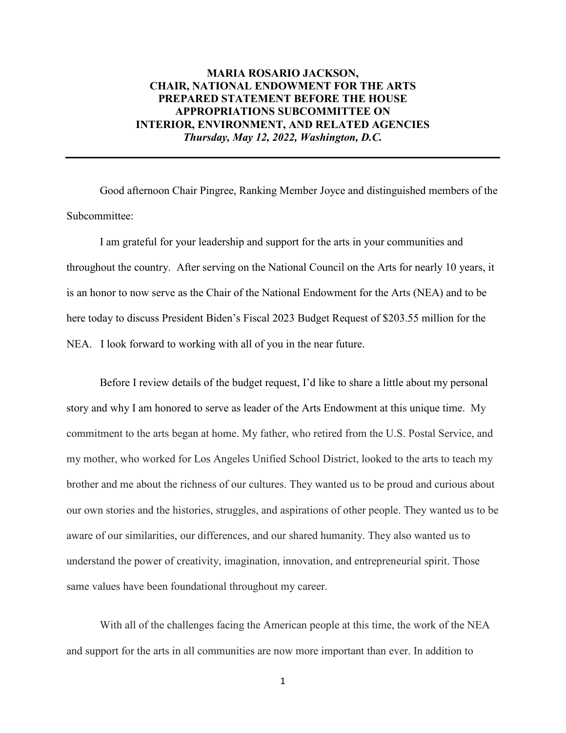# **MARIA ROSARIO JACKSON, CHAIR, NATIONAL ENDOWMENT FOR THE ARTS PREPARED STATEMENT BEFORE THE HOUSE APPROPRIATIONS SUBCOMMITTEE ON INTERIOR, ENVIRONMENT, AND RELATED AGENCIES** *Thursday, May 12, 2022, Washington, D.C.*

Good afternoon Chair Pingree, Ranking Member Joyce and distinguished members of the Subcommittee:

I am grateful for your leadership and support for the arts in your communities and throughout the country. After serving on the National Council on the Arts for nearly 10 years, it is an honor to now serve as the Chair of the National Endowment for the Arts (NEA) and to be here today to discuss President Biden's Fiscal 2023 Budget Request of \$203.55 million for the NEA. I look forward to working with all of you in the near future.

Before I review details of the budget request, I'd like to share a little about my personal story and why I am honored to serve as leader of the Arts Endowment at this unique time. My commitment to the arts began at home. My father, who retired from the U.S. Postal Service, and my mother, who worked for Los Angeles Unified School District, looked to the arts to teach my brother and me about the richness of our cultures. They wanted us to be proud and curious about our own stories and the histories, struggles, and aspirations of other people. They wanted us to be aware of our similarities, our differences, and our shared humanity. They also wanted us to understand the power of creativity, imagination, innovation, and entrepreneurial spirit. Those same values have been foundational throughout my career.

With all of the challenges facing the American people at this time, the work of the NEA and support for the arts in all communities are now more important than ever. In addition to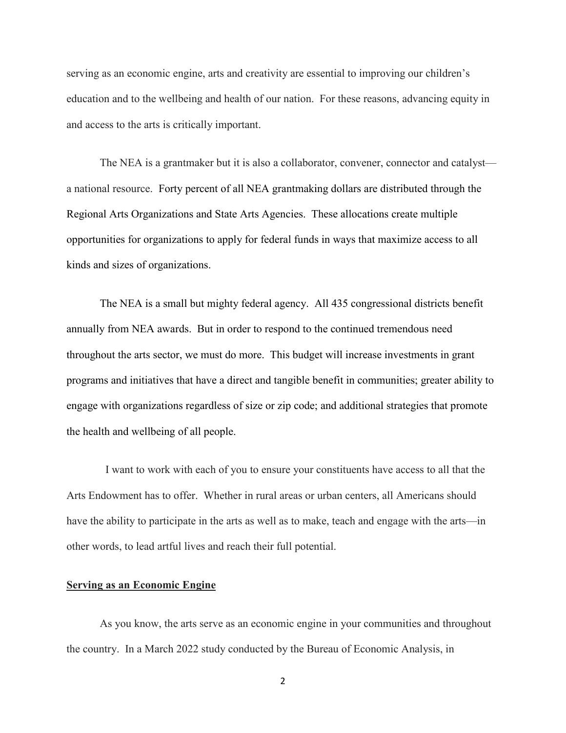serving as an economic engine, arts and creativity are essential to improving our children's education and to the wellbeing and health of our nation. For these reasons, advancing equity in and access to the arts is critically important.

The NEA is a grantmaker but it is also a collaborator, convener, connector and catalyst a national resource. Forty percent of all NEA grantmaking dollars are distributed through the Regional Arts Organizations and State Arts Agencies. These allocations create multiple opportunities for organizations to apply for federal funds in ways that maximize access to all kinds and sizes of organizations.

The NEA is a small but mighty federal agency. All 435 congressional districts benefit annually from NEA awards. But in order to respond to the continued tremendous need throughout the arts sector, we must do more. This budget will increase investments in grant programs and initiatives that have a direct and tangible benefit in communities; greater ability to engage with organizations regardless of size or zip code; and additional strategies that promote the health and wellbeing of all people.

 I want to work with each of you to ensure your constituents have access to all that the Arts Endowment has to offer. Whether in rural areas or urban centers, all Americans should have the ability to participate in the arts as well as to make, teach and engage with the arts—in other words, to lead artful lives and reach their full potential.

## **Serving as an Economic Engine**

As you know, the arts serve as an economic engine in your communities and throughout the country. In a March 2022 study conducted by the Bureau of Economic Analysis, in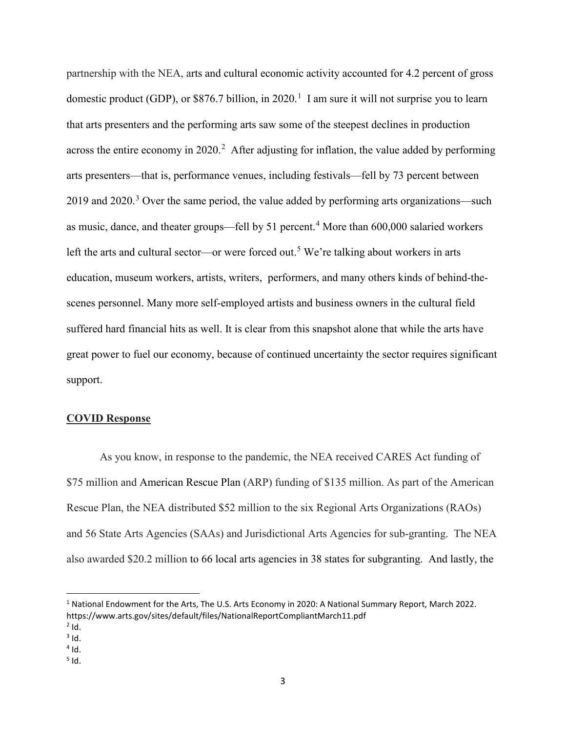partnership with the NEA, arts and cultural economic activity accounted for 4.2 percent of gross domestic product (GDP), or \$876.7 billion, in 2020.<sup>[1](#page-2-0)</sup> I am sure it will not surprise you to learn that arts presenters and the performing arts saw some of the steepest declines in production across the entire economy in [2](#page-2-1)020.<sup>2</sup> After adjusting for inflation, the value added by performing arts presenters—that is, performance venues, including festivals—fell by 73 percent between 2019 and 2020.<sup>[3](#page-2-2)</sup> Over the same period, the value added by performing arts organizations—such as music, dance, and theater groups—fell by 51 percent.<sup>[4](#page-2-3)</sup> More than 600,000 salaried workers left the arts and cultural sector—or were forced out.<sup>[5](#page-2-4)</sup> We're talking about workers in arts education, museum workers, artists, writers, performers, and many others kinds of behind-thescenes personnel. Many more self-employed artists and business owners in the cultural field suffered hard financial hits as well. It is clear from this snapshot alone that while the arts have great power to fuel our economy, because of continued uncertainty the sector requires significant support.

### **COVID Response**

As you know, in response to the pandemic, the NEA received CARES Act funding of \$75 million and American Rescue Plan (ARP) funding of \$135 million. As part of the American Rescue Plan, the NEA distributed \$52 million to the six Regional Arts Organizations (RAOs) and 56 State Arts Agencies (SAAs) and Jurisdictional Arts Agencies for sub-granting. The NEA also awarded \$20.2 million to 66 local arts agencies in 38 states for subgranting. And lastly, the

 $\overline{\phantom{a}}$ 

<span id="page-2-0"></span><sup>1</sup> National Endowment for the Arts, The U.S. Arts Economy in 2020: A National Summary Report, March 2022. https://www.arts.gov/sites/default/files/NationalReportCompliantMarch11.pdf

<span id="page-2-1"></span> $<sup>2</sup>$  Id.<br> $<sup>3</sup>$  Id.</sup></sup>

<span id="page-2-2"></span>

<span id="page-2-3"></span> $4$  Id.

<span id="page-2-4"></span> $5$  Id.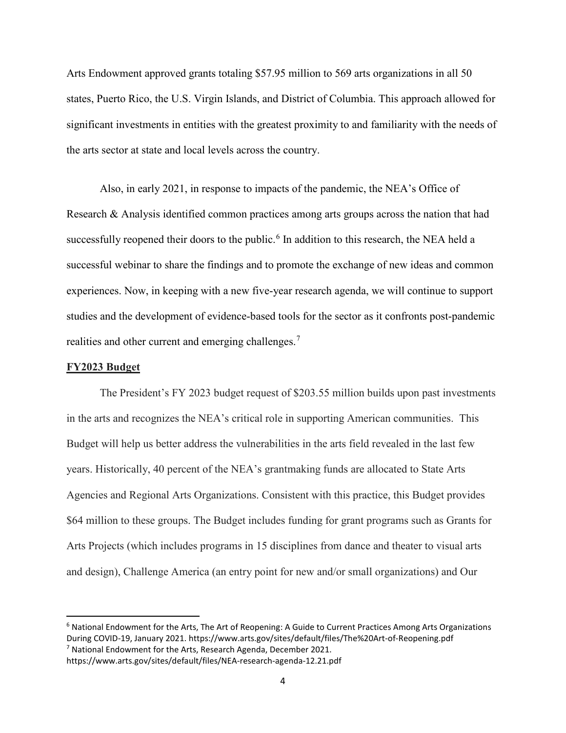Arts Endowment approved grants totaling \$57.95 million to 569 arts organizations in all 50 states, Puerto Rico, the U.S. Virgin Islands, and District of Columbia. This approach allowed for significant investments in entities with the greatest proximity to and familiarity with the needs of the arts sector at state and local levels across the country.

Also, in early 2021, in response to impacts of the pandemic, the NEA's Office of Research & Analysis identified common practices among arts groups across the nation that had successfully reopened their doors to the public.<sup>[6](#page-3-0)</sup> In addition to this research, the NEA held a successful webinar to share the findings and to promote the exchange of new ideas and common experiences. Now, in keeping with a new five-year research agenda, we will continue to support studies and the development of evidence-based tools for the sector as it confronts post-pandemic realities and other current and emerging challenges.<sup>[7](#page-3-1)</sup>

### **FY2023 Budget**

 $\overline{\phantom{a}}$ 

The President's FY 2023 budget request of \$203.55 million builds upon past investments in the arts and recognizes the NEA's critical role in supporting American communities. This Budget will help us better address the vulnerabilities in the arts field revealed in the last few years. Historically, 40 percent of the NEA's grantmaking funds are allocated to State Arts Agencies and Regional Arts Organizations. Consistent with this practice, this Budget provides \$64 million to these groups. The Budget includes funding for grant programs such as Grants for Arts Projects (which includes programs in 15 disciplines from dance and theater to visual arts and design), Challenge America (an entry point for new and/or small organizations) and Our

<span id="page-3-0"></span><sup>6</sup> National Endowment for the Arts, The Art of Reopening: A Guide to Current Practices Among Arts Organizations During COVID-19, January 2021. https://www.arts.gov/sites/default/files/The%20Art-of-Reopening.pdf <sup>7</sup> National Endowment for the Arts, Research Agenda, December 2021.

<span id="page-3-1"></span>https://www.arts.gov/sites/default/files/NEA-research-agenda-12.21.pdf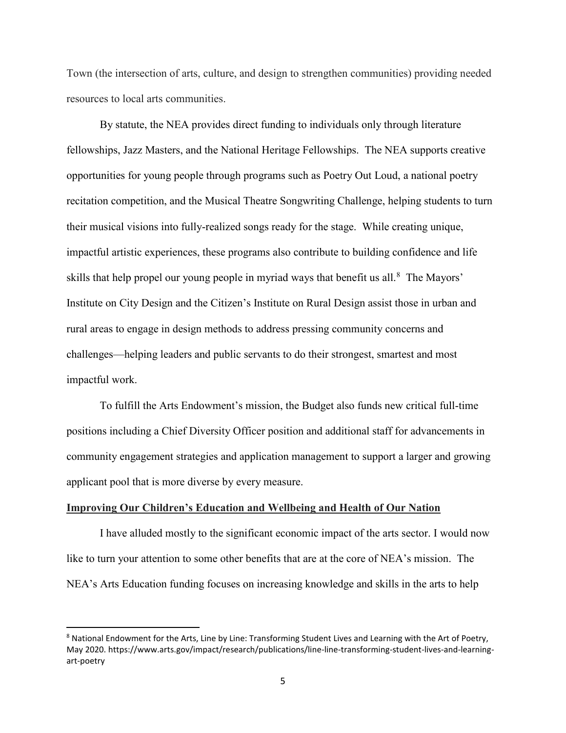Town (the intersection of arts, culture, and design to strengthen communities) providing needed resources to local arts communities.

By statute, the NEA provides direct funding to individuals only through literature fellowships, Jazz Masters, and the National Heritage Fellowships. The NEA supports creative opportunities for young people through programs such as Poetry Out Loud, a national poetry recitation competition, and the Musical Theatre Songwriting Challenge, helping students to turn their musical visions into fully-realized songs ready for the stage. While creating unique, impactful artistic experiences, these programs also contribute to building confidence and life skills that help propel our young people in myriad ways that benefit us all.<sup>[8](#page-4-0)</sup> The Mayors' Institute on City Design and the Citizen's Institute on Rural Design assist those in urban and rural areas to engage in design methods to address pressing community concerns and challenges—helping leaders and public servants to do their strongest, smartest and most impactful work.

To fulfill the Arts Endowment's mission, the Budget also funds new critical full-time positions including a Chief Diversity Officer position and additional staff for advancements in community engagement strategies and application management to support a larger and growing applicant pool that is more diverse by every measure.

### **Improving Our Children's Education and Wellbeing and Health of Our Nation**

l

I have alluded mostly to the significant economic impact of the arts sector. I would now like to turn your attention to some other benefits that are at the core of NEA's mission. The NEA's Arts Education funding focuses on increasing knowledge and skills in the arts to help

<span id="page-4-0"></span><sup>&</sup>lt;sup>8</sup> National Endowment for the Arts, Line by Line: Transforming Student Lives and Learning with the Art of Poetry, May 2020. https://www.arts.gov/impact/research/publications/line-line-transforming-student-lives-and-learningart-poetry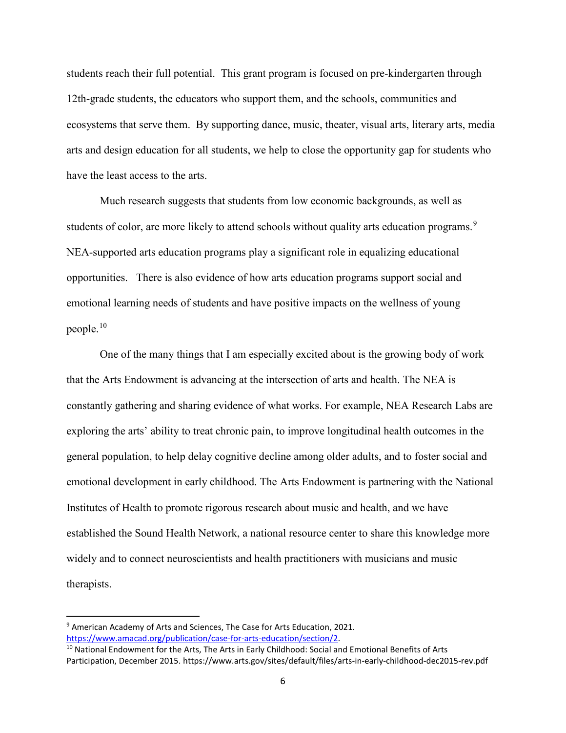students reach their full potential. This grant program is focused on pre-kindergarten through 12th-grade students, the educators who support them, and the schools, communities and ecosystems that serve them. By supporting dance, music, theater, visual arts, literary arts, media arts and design education for all students, we help to close the opportunity gap for students who have the least access to the arts.

Much research suggests that students from low economic backgrounds, as well as students of color, are more likely to attend schools without quality arts education programs.<sup>[9](#page-5-0)</sup> NEA-supported arts education programs play a significant role in equalizing educational opportunities. There is also evidence of how arts education programs support social and emotional learning needs of students and have positive impacts on the wellness of young people. $10$ 

One of the many things that I am especially excited about is the growing body of work that the Arts Endowment is advancing at the intersection of arts and health. The NEA is constantly gathering and sharing evidence of what works. For example, NEA Research Labs are exploring the arts' ability to treat chronic pain, to improve longitudinal health outcomes in the general population, to help delay cognitive decline among older adults, and to foster social and emotional development in early childhood. The Arts Endowment is partnering with the National Institutes of Health to promote rigorous research about music and health, and we have established the Sound Health Network, a national resource center to share this knowledge more widely and to connect neuroscientists and health practitioners with musicians and music therapists.

 $\overline{\phantom{a}}$ 

<span id="page-5-0"></span><sup>&</sup>lt;sup>9</sup> American Academy of Arts and Sciences, The Case for Arts Education, 2021. [https://www.amacad.org/publication/case-for-arts-education/section/2.](https://www.amacad.org/publication/case-for-arts-education/section/2)<br><sup>10</sup> National Endowment for the Arts, The Arts in Early Childhood: Social and Emotional Benefits of Arts

<span id="page-5-1"></span>Participation, December 2015. https://www.arts.gov/sites/default/files/arts-in-early-childhood-dec2015-rev.pdf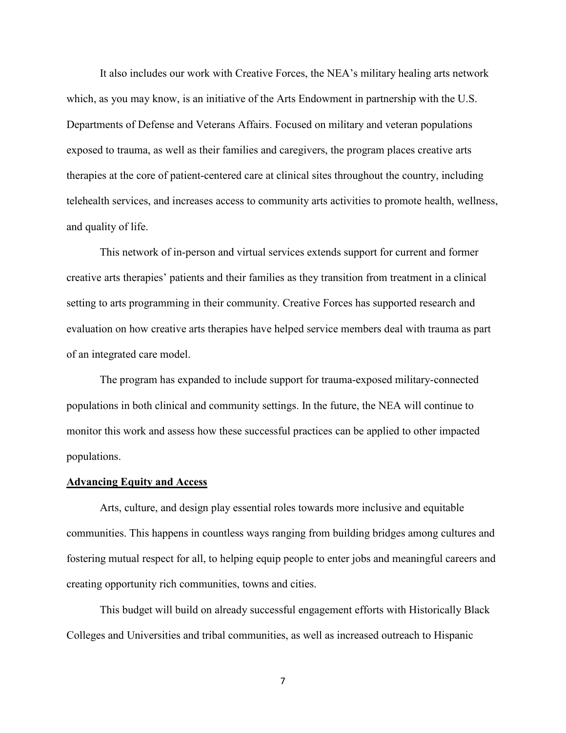It also includes our work with Creative Forces, the NEA's military healing arts network which, as you may know, is an initiative of the Arts Endowment in partnership with the U.S. Departments of Defense and Veterans Affairs. Focused on military and veteran populations exposed to trauma, as well as their families and caregivers, the program places creative arts therapies at the core of patient-centered care at clinical sites throughout the country, including telehealth services, and increases access to community arts activities to promote health, wellness, and quality of life.

This network of in-person and virtual services extends support for current and former creative arts therapies' patients and their families as they transition from treatment in a clinical setting to arts programming in their community. Creative Forces has supported research and evaluation on how creative arts therapies have helped service members deal with trauma as part of an integrated care model.

The program has expanded to include support for trauma-exposed military-connected populations in both clinical and community settings. In the future, the NEA will continue to monitor this work and assess how these successful practices can be applied to other impacted populations.

#### **Advancing Equity and Access**

Arts, culture, and design play essential roles towards more inclusive and equitable communities. This happens in countless ways ranging from building bridges among cultures and fostering mutual respect for all, to helping equip people to enter jobs and meaningful careers and creating opportunity rich communities, towns and cities.

This budget will build on already successful engagement efforts with [Historically Black](https://www.arts.gov/node/75221)  [Colleges and Universities](https://www.arts.gov/node/75221) and tribal communities, as well as increased outreach to Hispanic

7